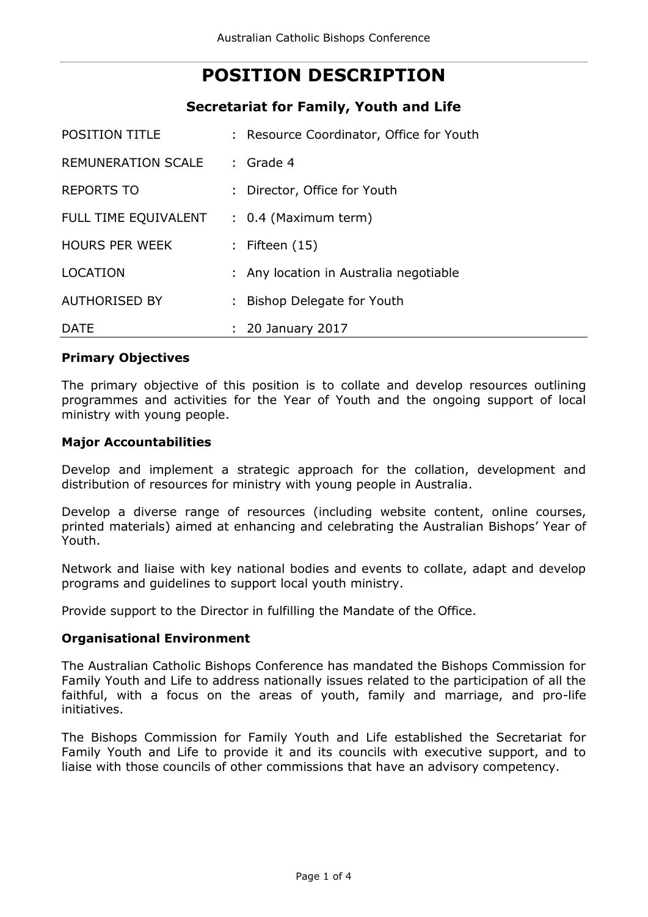# **POSITION DESCRIPTION**

# **Secretariat for Family, Youth and Life**

| <b>POSITION TITLE</b>     | : Resource Coordinator, Office for Youth |
|---------------------------|------------------------------------------|
| <b>REMUNERATION SCALE</b> | $:$ Grade 4                              |
| <b>REPORTS TO</b>         | : Director, Office for Youth             |
| FULL TIME EQUIVALENT      | $: 0.4$ (Maximum term)                   |
| <b>HOURS PER WEEK</b>     | : Fifteen $(15)$                         |
| <b>LOCATION</b>           | : Any location in Australia negotiable   |
| <b>AUTHORISED BY</b>      | : Bishop Delegate for Youth              |
| <b>DATE</b>               | : 20 January 2017                        |

#### **Primary Objectives**

The primary objective of this position is to collate and develop resources outlining programmes and activities for the Year of Youth and the ongoing support of local ministry with young people.

#### **Major Accountabilities**

Develop and implement a strategic approach for the collation, development and distribution of resources for ministry with young people in Australia.

Develop a diverse range of resources (including website content, online courses, printed materials) aimed at enhancing and celebrating the Australian Bishops' Year of Youth.

Network and liaise with key national bodies and events to collate, adapt and develop programs and guidelines to support local youth ministry.

Provide support to the Director in fulfilling the Mandate of the Office.

#### **Organisational Environment**

The Australian Catholic Bishops Conference has mandated the Bishops Commission for Family Youth and Life to address nationally issues related to the participation of all the faithful, with a focus on the areas of youth, family and marriage, and pro-life initiatives.

The Bishops Commission for Family Youth and Life established the Secretariat for Family Youth and Life to provide it and its councils with executive support, and to liaise with those councils of other commissions that have an advisory competency.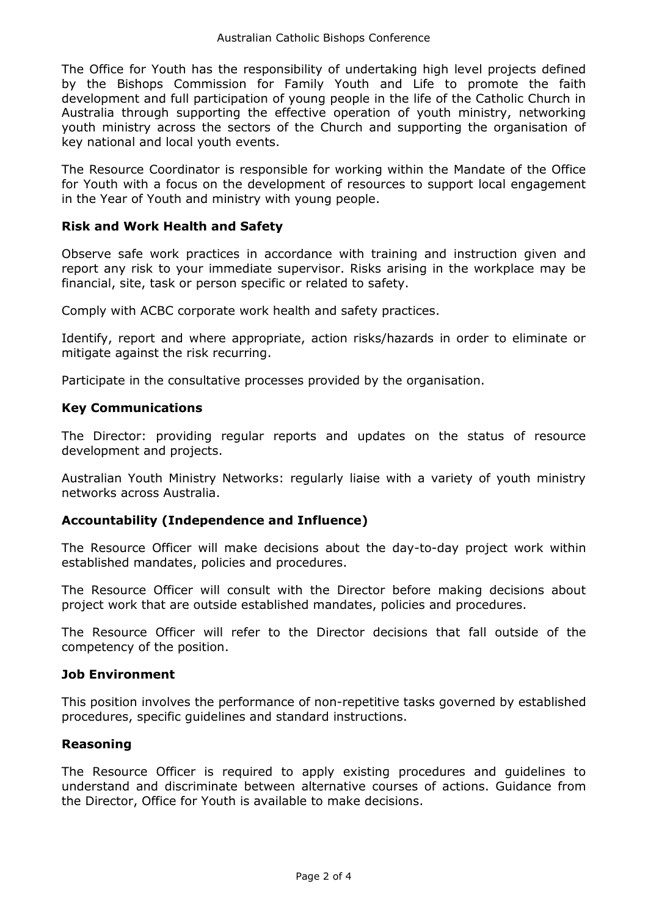The Office for Youth has the responsibility of undertaking high level projects defined by the Bishops Commission for Family Youth and Life to promote the faith development and full participation of young people in the life of the Catholic Church in Australia through supporting the effective operation of youth ministry, networking youth ministry across the sectors of the Church and supporting the organisation of key national and local youth events.

The Resource Coordinator is responsible for working within the Mandate of the Office for Youth with a focus on the development of resources to support local engagement in the Year of Youth and ministry with young people.

## **Risk and Work Health and Safety**

Observe safe work practices in accordance with training and instruction given and report any risk to your immediate supervisor. Risks arising in the workplace may be financial, site, task or person specific or related to safety.

Comply with ACBC corporate work health and safety practices.

Identify, report and where appropriate, action risks/hazards in order to eliminate or mitigate against the risk recurring.

Participate in the consultative processes provided by the organisation.

#### **Key Communications**

The Director: providing regular reports and updates on the status of resource development and projects.

Australian Youth Ministry Networks: regularly liaise with a variety of youth ministry networks across Australia.

#### **Accountability (Independence and Influence)**

The Resource Officer will make decisions about the day-to-day project work within established mandates, policies and procedures.

The Resource Officer will consult with the Director before making decisions about project work that are outside established mandates, policies and procedures.

The Resource Officer will refer to the Director decisions that fall outside of the competency of the position.

#### **Job Environment**

This position involves the performance of non-repetitive tasks governed by established procedures, specific guidelines and standard instructions.

#### **Reasoning**

The Resource Officer is required to apply existing procedures and guidelines to understand and discriminate between alternative courses of actions. Guidance from the Director, Office for Youth is available to make decisions.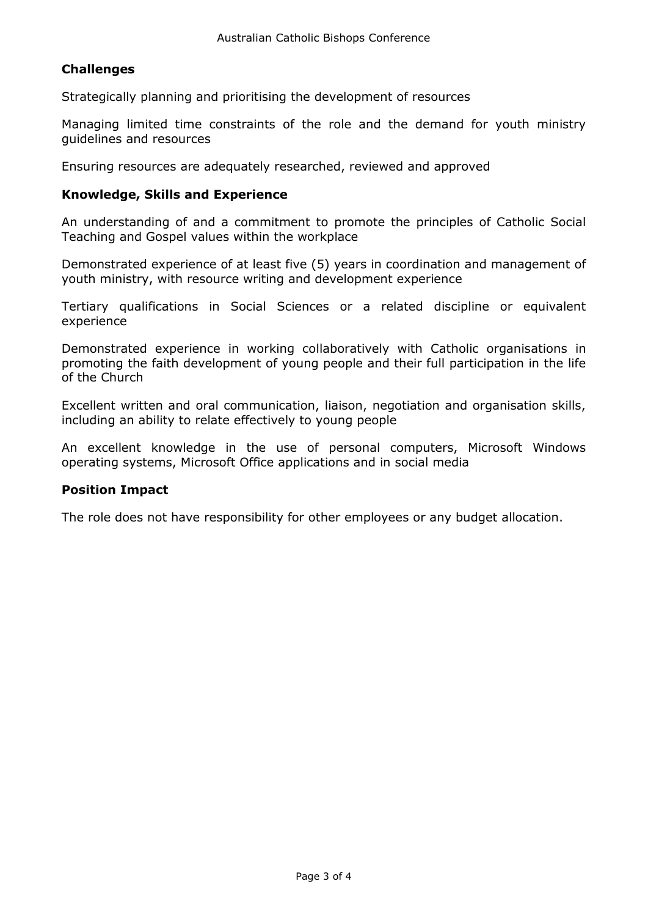# **Challenges**

Strategically planning and prioritising the development of resources

Managing limited time constraints of the role and the demand for youth ministry guidelines and resources

Ensuring resources are adequately researched, reviewed and approved

#### **Knowledge, Skills and Experience**

An understanding of and a commitment to promote the principles of Catholic Social Teaching and Gospel values within the workplace

Demonstrated experience of at least five (5) years in coordination and management of youth ministry, with resource writing and development experience

Tertiary qualifications in Social Sciences or a related discipline or equivalent experience

Demonstrated experience in working collaboratively with Catholic organisations in promoting the faith development of young people and their full participation in the life of the Church

Excellent written and oral communication, liaison, negotiation and organisation skills, including an ability to relate effectively to young people

An excellent knowledge in the use of personal computers, Microsoft Windows operating systems, Microsoft Office applications and in social media

#### **Position Impact**

The role does not have responsibility for other employees or any budget allocation.